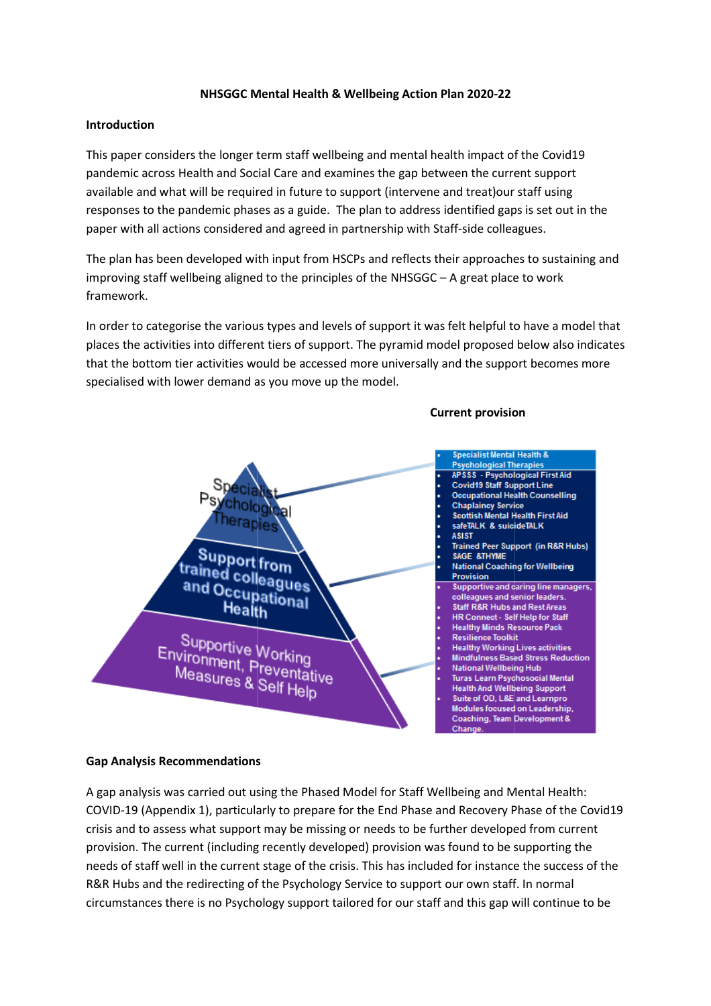# NHSGGC Mental Health & Wellbeing Action Plan Plan 2020-22

## Introduction

This paper considers the longer term staff wellbeing and mental health impact of the Covid19 pandemic across Health and Social Care and examines the gap between the current support available and what will be required in future to support (intervene and treat)our staff using responses to the pandemic phases as a guide. The plan to address identified gaps is set out in the paper with all actions considered and agreed in partnership with Staff-side colleagues.

The plan has been developed with input from HSCPs and reflects their approaches to sustaining and improving staff wellbeing aligned to the principles of the NHSGGC – A great place to work framework. side colleagues.<br>
approaches to sustaining and<br>
great place to work<br>
t helpful to have a model tha<br>
proposed below also indicat<br>
the support becomes more

In order to categorise the various types and levels of support it was felt helpful to have a model that places the activities into different tiers of support. The pyramid model proposed below also indicates that the bottom tier activities would be accessed more universally and the support becomes more specialised with lower demand as you move up the model.



### Gap Analysis Recommendations

A gap analysis was carried out using the Phased Model for Staff Wellbeing and Mental Health: COVID-19 (Appendix 1), particularly to prepare for the End Phase and Recovery Phase of the Covid19 crisis and to assess what support may be missing or needs to be further developed from current provision. The current (including recently developed) provision was found to be supporting the needs of staff well in the current stage of the crisis. This has included for instance the success of the R&R Hubs and the redirecting of the Psychology Service to support our own staff. In normal circumstances there is no Psychology support tailored for our staff and this gap will continue to be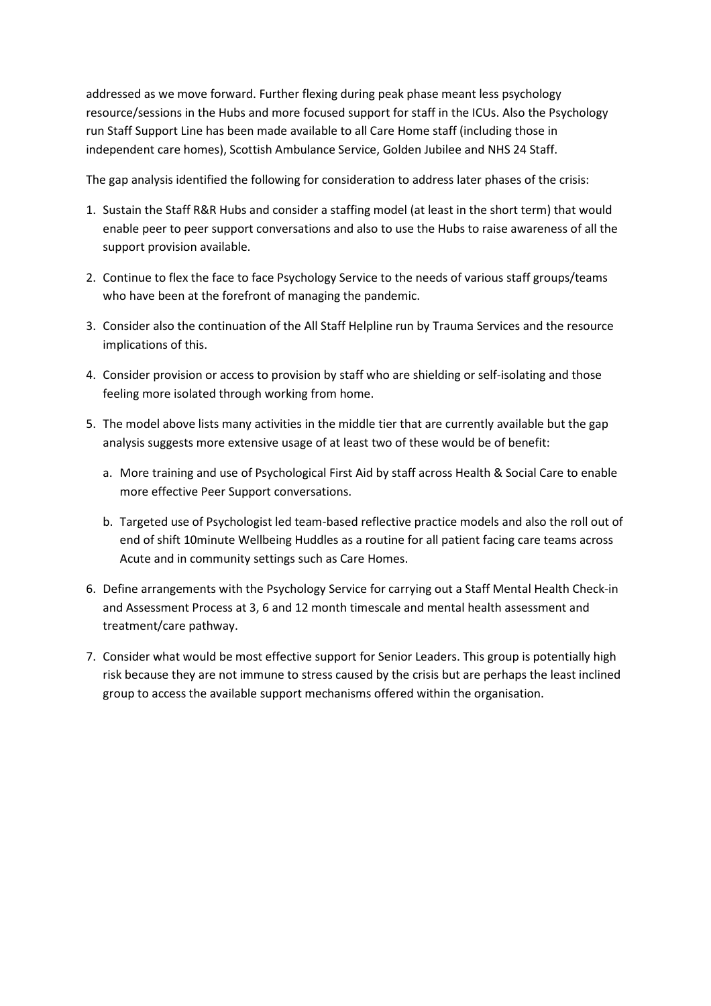addressed as we move forward. Further flexing during peak phase meant less psychology resource/sessions in the Hubs and more focused support for staff in the ICUs. Also the Psychology run Staff Support Line has been made available to all Care Home staff (including those in independent care homes), Scottish Ambulance Service, Golden Jubilee and NHS 24 Staff.

The gap analysis identified the following for consideration to address later phases of the crisis:

- 1. Sustain the Staff R&R Hubs and consider a staffing model (at least in the short term) that would enable peer to peer support conversations and also to use the Hubs to raise awareness of all the support provision available.
- 2. Continue to flex the face to face Psychology Service to the needs of various staff groups/teams who have been at the forefront of managing the pandemic.
- 3. Consider also the continuation of the All Staff Helpline run by Trauma Services and the resource implications of this.
- 4. Consider provision or access to provision by staff who are shielding or self-isolating and those feeling more isolated through working from home.
- 5. The model above lists many activities in the middle tier that are currently available but the gap analysis suggests more extensive usage of at least two of these would be of benefit:
	- a. More training and use of Psychological First Aid by staff across Health & Social Care to enable more effective Peer Support conversations.
	- b. Targeted use of Psychologist led team-based reflective practice models and also the roll out of end of shift 10minute Wellbeing Huddles as a routine for all patient facing care teams across Acute and in community settings such as Care Homes.
- 6. Define arrangements with the Psychology Service for carrying out a Staff Mental Health Check-in and Assessment Process at 3, 6 and 12 month timescale and mental health assessment and treatment/care pathway.
- 7. Consider what would be most effective support for Senior Leaders. This group is potentially high risk because they are not immune to stress caused by the crisis but are perhaps the least inclined group to access the available support mechanisms offered within the organisation.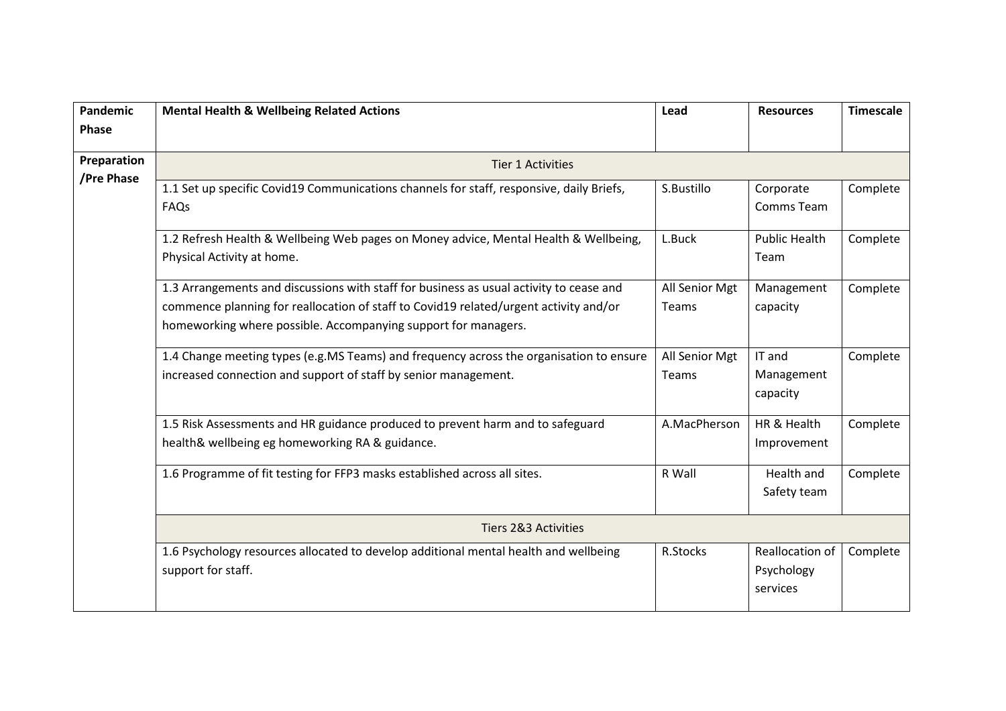| Pandemic<br>Phase | <b>Mental Health &amp; Wellbeing Related Actions</b>                                                                                                                                                                                               | Lead                    | <b>Resources</b>                          | <b>Timescale</b> |  |  |
|-------------------|----------------------------------------------------------------------------------------------------------------------------------------------------------------------------------------------------------------------------------------------------|-------------------------|-------------------------------------------|------------------|--|--|
|                   |                                                                                                                                                                                                                                                    |                         |                                           |                  |  |  |
| Preparation       | <b>Tier 1 Activities</b>                                                                                                                                                                                                                           |                         |                                           |                  |  |  |
| /Pre Phase        | 1.1 Set up specific Covid19 Communications channels for staff, responsive, daily Briefs,<br>FAQs                                                                                                                                                   | S.Bustillo              | Corporate<br>Comms Team                   | Complete         |  |  |
|                   | 1.2 Refresh Health & Wellbeing Web pages on Money advice, Mental Health & Wellbeing,<br>Physical Activity at home.                                                                                                                                 | L.Buck                  | <b>Public Health</b><br>Team              | Complete         |  |  |
|                   | 1.3 Arrangements and discussions with staff for business as usual activity to cease and<br>commence planning for reallocation of staff to Covid19 related/urgent activity and/or<br>homeworking where possible. Accompanying support for managers. | All Senior Mgt<br>Teams | Management<br>capacity                    | Complete         |  |  |
|                   | 1.4 Change meeting types (e.g.MS Teams) and frequency across the organisation to ensure<br>increased connection and support of staff by senior management.                                                                                         | All Senior Mgt<br>Teams | IT and<br>Management<br>capacity          | Complete         |  |  |
|                   | 1.5 Risk Assessments and HR guidance produced to prevent harm and to safeguard<br>health& wellbeing eg homeworking RA & guidance.                                                                                                                  | A.MacPherson            | HR & Health<br>Improvement                | Complete         |  |  |
|                   | 1.6 Programme of fit testing for FFP3 masks established across all sites.                                                                                                                                                                          | R Wall                  | <b>Health and</b><br>Safety team          | Complete         |  |  |
|                   | <b>Tiers 2&amp;3 Activities</b>                                                                                                                                                                                                                    |                         |                                           |                  |  |  |
|                   | 1.6 Psychology resources allocated to develop additional mental health and wellbeing<br>support for staff.                                                                                                                                         | R.Stocks                | Reallocation of<br>Psychology<br>services | Complete         |  |  |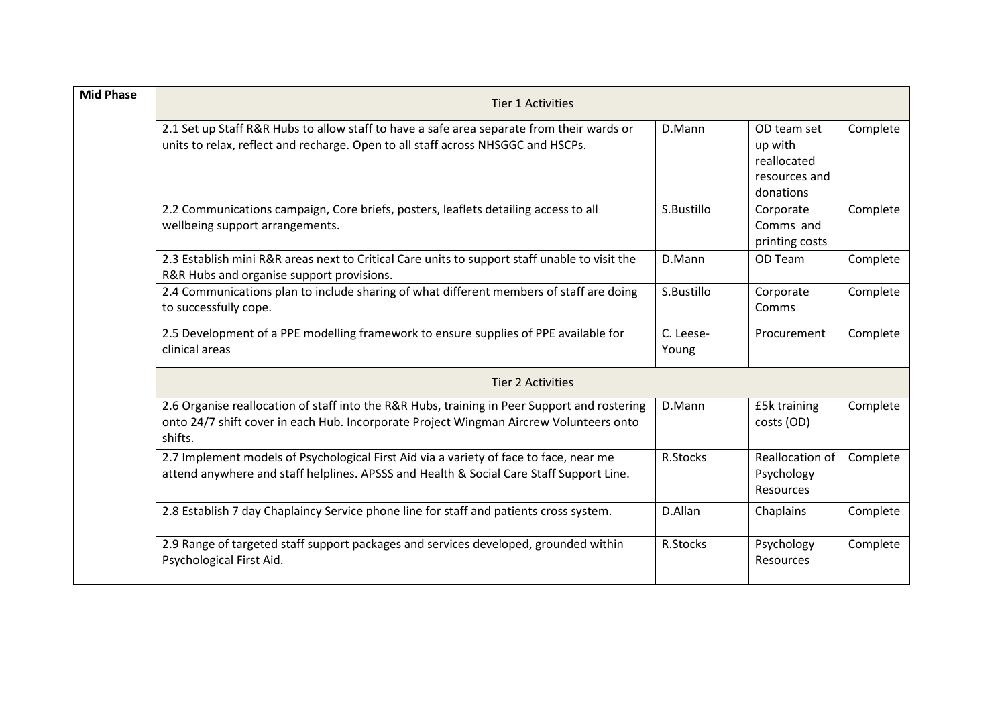| <b>Mid Phase</b> | <b>Tier 1 Activities</b>                                                                                                                                                                          |                    |                                                                     |          |  |  |  |
|------------------|---------------------------------------------------------------------------------------------------------------------------------------------------------------------------------------------------|--------------------|---------------------------------------------------------------------|----------|--|--|--|
|                  | 2.1 Set up Staff R&R Hubs to allow staff to have a safe area separate from their wards or<br>units to relax, reflect and recharge. Open to all staff across NHSGGC and HSCPs.                     | D.Mann             | OD team set<br>up with<br>reallocated<br>resources and<br>donations | Complete |  |  |  |
|                  | 2.2 Communications campaign, Core briefs, posters, leaflets detailing access to all<br>wellbeing support arrangements.                                                                            | S.Bustillo         | Corporate<br>Comms and<br>printing costs                            | Complete |  |  |  |
|                  | 2.3 Establish mini R&R areas next to Critical Care units to support staff unable to visit the<br>R&R Hubs and organise support provisions.                                                        | D.Mann             | OD Team                                                             | Complete |  |  |  |
|                  | 2.4 Communications plan to include sharing of what different members of staff are doing<br>to successfully cope.                                                                                  | S.Bustillo         | Corporate<br>Comms                                                  | Complete |  |  |  |
|                  | 2.5 Development of a PPE modelling framework to ensure supplies of PPE available for<br>clinical areas                                                                                            | C. Leese-<br>Young | Procurement                                                         | Complete |  |  |  |
|                  | <b>Tier 2 Activities</b>                                                                                                                                                                          |                    |                                                                     |          |  |  |  |
|                  | 2.6 Organise reallocation of staff into the R&R Hubs, training in Peer Support and rostering<br>onto 24/7 shift cover in each Hub. Incorporate Project Wingman Aircrew Volunteers onto<br>shifts. | D.Mann             | £5k training<br>costs (OD)                                          | Complete |  |  |  |
|                  | 2.7 Implement models of Psychological First Aid via a variety of face to face, near me<br>attend anywhere and staff helplines. APSSS and Health & Social Care Staff Support Line.                 | R.Stocks           | <b>Reallocation of</b><br>Psychology<br>Resources                   | Complete |  |  |  |
|                  | 2.8 Establish 7 day Chaplaincy Service phone line for staff and patients cross system.                                                                                                            | D.Allan            | Chaplains                                                           | Complete |  |  |  |
|                  | 2.9 Range of targeted staff support packages and services developed, grounded within<br>Psychological First Aid.                                                                                  | R.Stocks           | Psychology<br><b>Resources</b>                                      | Complete |  |  |  |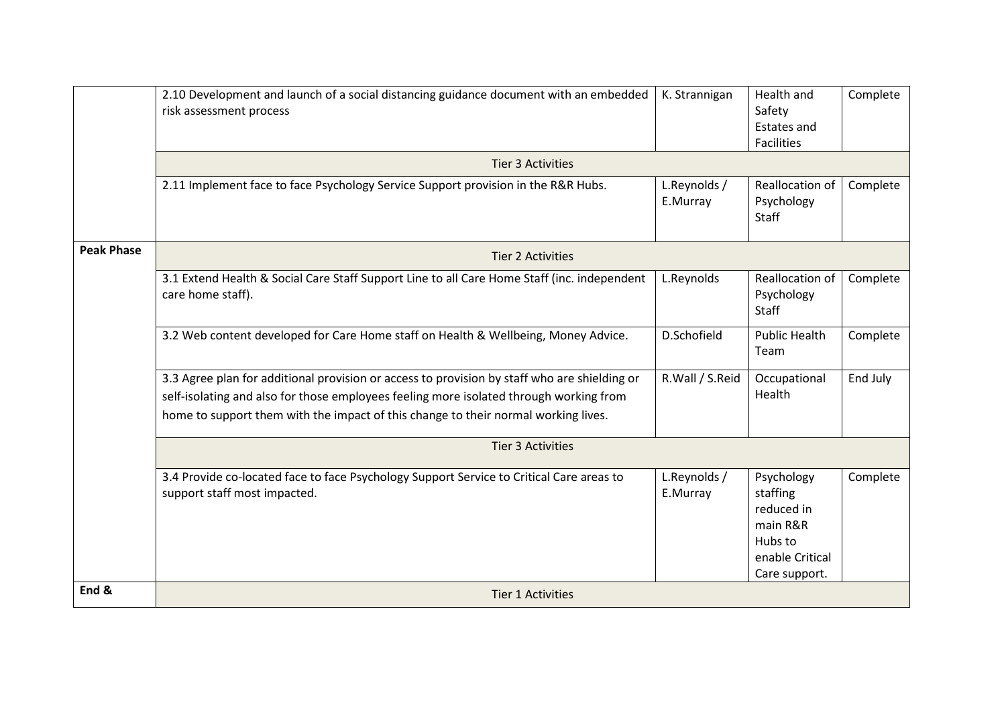|                   | 2.10 Development and launch of a social distancing guidance document with an embedded<br>risk assessment process         | K. Strannigan            | Health and<br>Safety<br><b>Estates and</b><br><b>Facilities</b> | Complete |  |  |  |
|-------------------|--------------------------------------------------------------------------------------------------------------------------|--------------------------|-----------------------------------------------------------------|----------|--|--|--|
|                   | <b>Tier 3 Activities</b>                                                                                                 |                          |                                                                 |          |  |  |  |
|                   | 2.11 Implement face to face Psychology Service Support provision in the R&R Hubs.                                        | L.Reynolds /<br>E.Murray | <b>Reallocation of</b><br>Psychology<br>Staff                   | Complete |  |  |  |
| <b>Peak Phase</b> | <b>Tier 2 Activities</b>                                                                                                 |                          |                                                                 |          |  |  |  |
|                   | 3.1 Extend Health & Social Care Staff Support Line to all Care Home Staff (inc. independent<br>care home staff).         | L.Reynolds               | Reallocation of<br>Psychology<br><b>Staff</b>                   | Complete |  |  |  |
|                   | 3.2 Web content developed for Care Home staff on Health & Wellbeing, Money Advice.                                       | D.Schofield              | <b>Public Health</b><br>Team                                    | Complete |  |  |  |
|                   | 3.3 Agree plan for additional provision or access to provision by staff who are shielding or                             | R.Wall / S.Reid          | Occupational                                                    | End July |  |  |  |
|                   | self-isolating and also for those employees feeling more isolated through working from                                   |                          | Health                                                          |          |  |  |  |
|                   | home to support them with the impact of this change to their normal working lives.                                       |                          |                                                                 |          |  |  |  |
|                   | <b>Tier 3 Activities</b>                                                                                                 |                          |                                                                 |          |  |  |  |
|                   | 3.4 Provide co-located face to face Psychology Support Service to Critical Care areas to<br>support staff most impacted. | L.Reynolds /<br>E.Murray | Psychology<br>staffing<br>reduced in                            | Complete |  |  |  |
|                   |                                                                                                                          |                          | main R&R<br>Hubs to                                             |          |  |  |  |
|                   |                                                                                                                          |                          | enable Critical                                                 |          |  |  |  |
|                   |                                                                                                                          |                          | Care support.                                                   |          |  |  |  |
| End &             | <b>Tier 1 Activities</b>                                                                                                 |                          |                                                                 |          |  |  |  |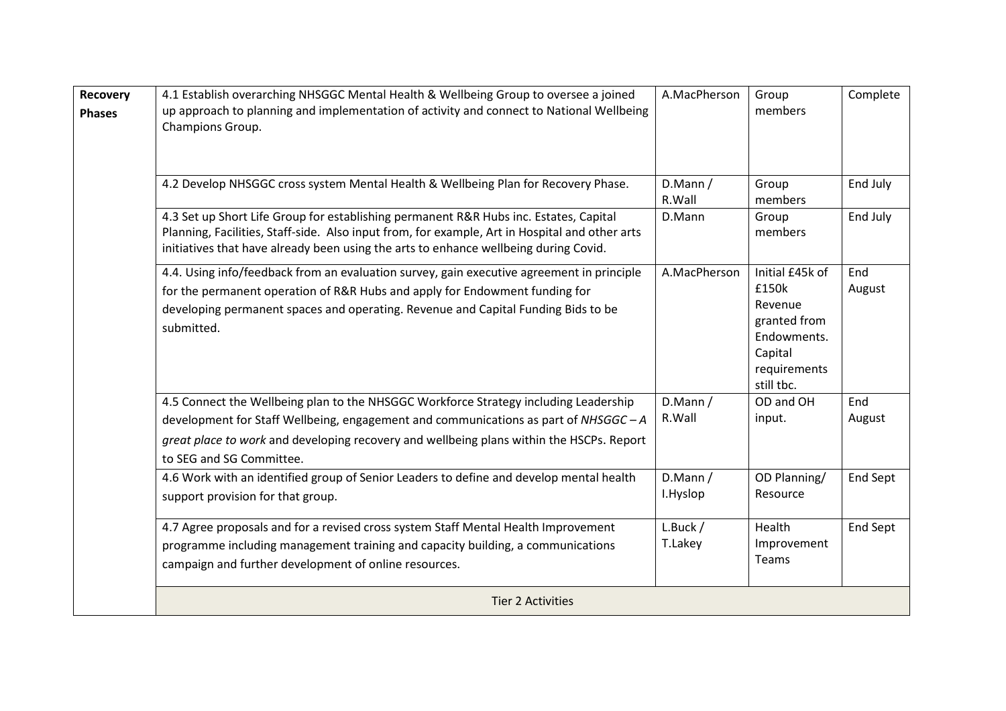| <b>Recovery</b><br><b>Phases</b> | 4.1 Establish overarching NHSGGC Mental Health & Wellbeing Group to oversee a joined<br>up approach to planning and implementation of activity and connect to National Wellbeing<br>Champions Group.                                                                                               | A.MacPherson        | Group<br>members                                                                                            | Complete      |
|----------------------------------|----------------------------------------------------------------------------------------------------------------------------------------------------------------------------------------------------------------------------------------------------------------------------------------------------|---------------------|-------------------------------------------------------------------------------------------------------------|---------------|
|                                  | 4.2 Develop NHSGGC cross system Mental Health & Wellbeing Plan for Recovery Phase.                                                                                                                                                                                                                 | D.Mann /<br>R.Wall  | Group<br>members                                                                                            | End July      |
|                                  | 4.3 Set up Short Life Group for establishing permanent R&R Hubs inc. Estates, Capital<br>Planning, Facilities, Staff-side. Also input from, for example, Art in Hospital and other arts<br>initiatives that have already been using the arts to enhance wellbeing during Covid.                    | D.Mann              | Group<br>members                                                                                            | End July      |
|                                  | 4.4. Using info/feedback from an evaluation survey, gain executive agreement in principle<br>for the permanent operation of R&R Hubs and apply for Endowment funding for<br>developing permanent spaces and operating. Revenue and Capital Funding Bids to be<br>submitted.                        | A.MacPherson        | Initial £45k of<br>£150k<br>Revenue<br>granted from<br>Endowments.<br>Capital<br>requirements<br>still tbc. | End<br>August |
|                                  | 4.5 Connect the Wellbeing plan to the NHSGGC Workforce Strategy including Leadership<br>development for Staff Wellbeing, engagement and communications as part of NHSGGC-A<br>great place to work and developing recovery and wellbeing plans within the HSCPs. Report<br>to SEG and SG Committee. | D.Mann /<br>R.Wall  | OD and OH<br>input.                                                                                         | End<br>August |
|                                  | 4.6 Work with an identified group of Senior Leaders to define and develop mental health<br>support provision for that group.                                                                                                                                                                       | D.Mann/<br>I.Hyslop | OD Planning/<br>Resource                                                                                    | End Sept      |
|                                  | 4.7 Agree proposals and for a revised cross system Staff Mental Health Improvement<br>programme including management training and capacity building, a communications<br>campaign and further development of online resources.                                                                     | L.Buck /<br>T.Lakey | Health<br>Improvement<br>Teams                                                                              | End Sept      |
|                                  | <b>Tier 2 Activities</b>                                                                                                                                                                                                                                                                           |                     |                                                                                                             |               |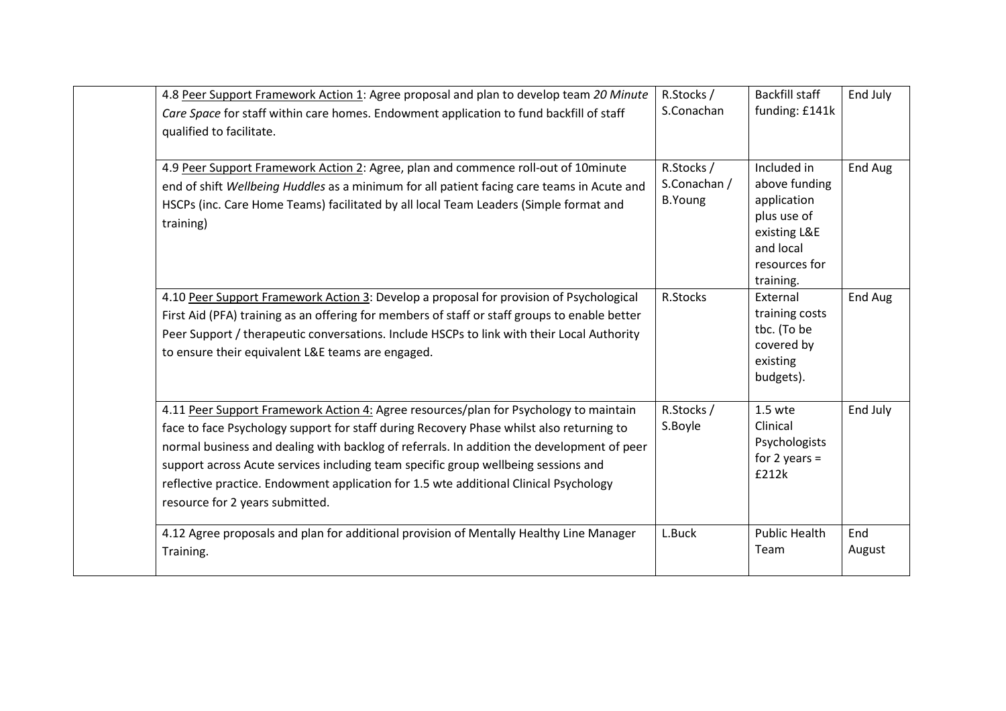| 4.8 Peer Support Framework Action 1: Agree proposal and plan to develop team 20 Minute<br>Care Space for staff within care homes. Endowment application to fund backfill of staff<br>qualified to facilitate.                                                                                                                                                                                                                                                                                     | R.Stocks /<br>S.Conachan                     | <b>Backfill staff</b><br>funding: £141k                                                                               | End July      |
|---------------------------------------------------------------------------------------------------------------------------------------------------------------------------------------------------------------------------------------------------------------------------------------------------------------------------------------------------------------------------------------------------------------------------------------------------------------------------------------------------|----------------------------------------------|-----------------------------------------------------------------------------------------------------------------------|---------------|
| 4.9 Peer Support Framework Action 2: Agree, plan and commence roll-out of 10minute<br>end of shift Wellbeing Huddles as a minimum for all patient facing care teams in Acute and<br>HSCPs (inc. Care Home Teams) facilitated by all local Team Leaders (Simple format and<br>training)                                                                                                                                                                                                            | R.Stocks /<br>S.Conachan /<br><b>B.Young</b> | Included in<br>above funding<br>application<br>plus use of<br>existing L&E<br>and local<br>resources for<br>training. | End Aug       |
| 4.10 Peer Support Framework Action 3: Develop a proposal for provision of Psychological<br>First Aid (PFA) training as an offering for members of staff or staff groups to enable better<br>Peer Support / therapeutic conversations. Include HSCPs to link with their Local Authority<br>to ensure their equivalent L&E teams are engaged.                                                                                                                                                       | R.Stocks                                     | External<br>training costs<br>tbc. (To be<br>covered by<br>existing<br>budgets).                                      | End Aug       |
| 4.11 Peer Support Framework Action 4: Agree resources/plan for Psychology to maintain<br>face to face Psychology support for staff during Recovery Phase whilst also returning to<br>normal business and dealing with backlog of referrals. In addition the development of peer<br>support across Acute services including team specific group wellbeing sessions and<br>reflective practice. Endowment application for 1.5 wte additional Clinical Psychology<br>resource for 2 years submitted. | R.Stocks /<br>S.Boyle                        | 1.5 wte<br>Clinical<br>Psychologists<br>for 2 years $=$<br>£212k                                                      | End July      |
| 4.12 Agree proposals and plan for additional provision of Mentally Healthy Line Manager<br>Training.                                                                                                                                                                                                                                                                                                                                                                                              | L.Buck                                       | <b>Public Health</b><br>Team                                                                                          | End<br>August |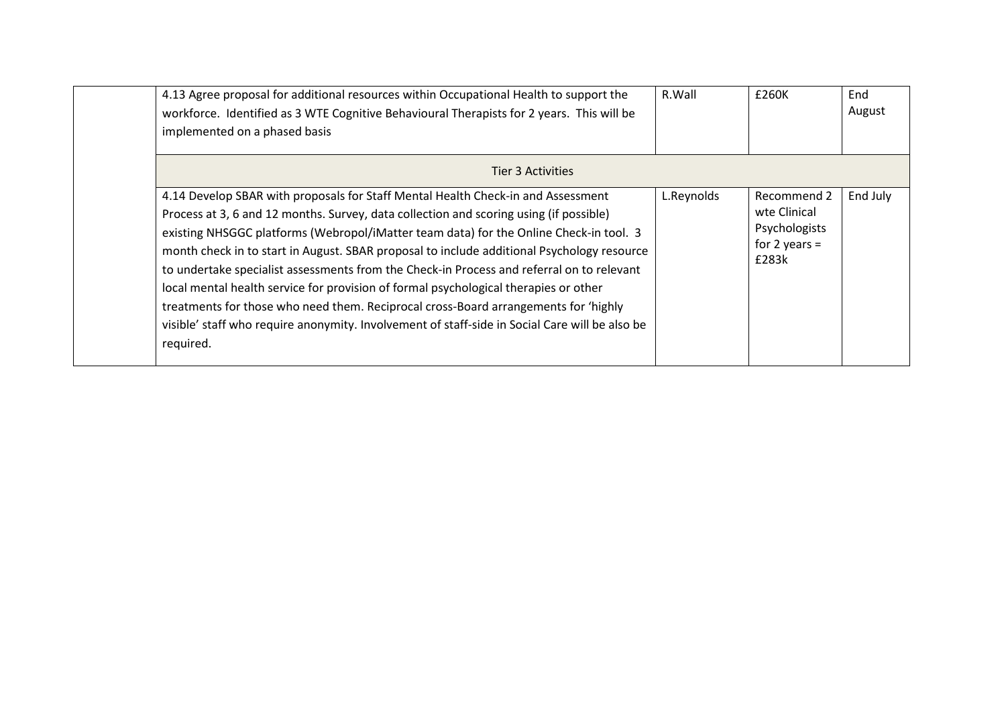| 4.13 Agree proposal for additional resources within Occupational Health to support the<br>workforce. Identified as 3 WTE Cognitive Behavioural Therapists for 2 years. This will be<br>implemented on a phased basis                                                                                                                                                                                                                                                                                                                                                                                                                                                                                                                                          | R.Wall     | £260K                                                                    | End<br>August |
|---------------------------------------------------------------------------------------------------------------------------------------------------------------------------------------------------------------------------------------------------------------------------------------------------------------------------------------------------------------------------------------------------------------------------------------------------------------------------------------------------------------------------------------------------------------------------------------------------------------------------------------------------------------------------------------------------------------------------------------------------------------|------------|--------------------------------------------------------------------------|---------------|
| <b>Tier 3 Activities</b>                                                                                                                                                                                                                                                                                                                                                                                                                                                                                                                                                                                                                                                                                                                                      |            |                                                                          |               |
| 4.14 Develop SBAR with proposals for Staff Mental Health Check-in and Assessment<br>Process at 3, 6 and 12 months. Survey, data collection and scoring using (if possible)<br>existing NHSGGC platforms (Webropol/iMatter team data) for the Online Check-in tool. 3<br>month check in to start in August. SBAR proposal to include additional Psychology resource<br>to undertake specialist assessments from the Check-in Process and referral on to relevant<br>local mental health service for provision of formal psychological therapies or other<br>treatments for those who need them. Reciprocal cross-Board arrangements for 'highly<br>visible' staff who require anonymity. Involvement of staff-side in Social Care will be also be<br>required. | L.Reynolds | Recommend 2<br>wte Clinical<br>Psychologists<br>for 2 years $=$<br>£283k | End July      |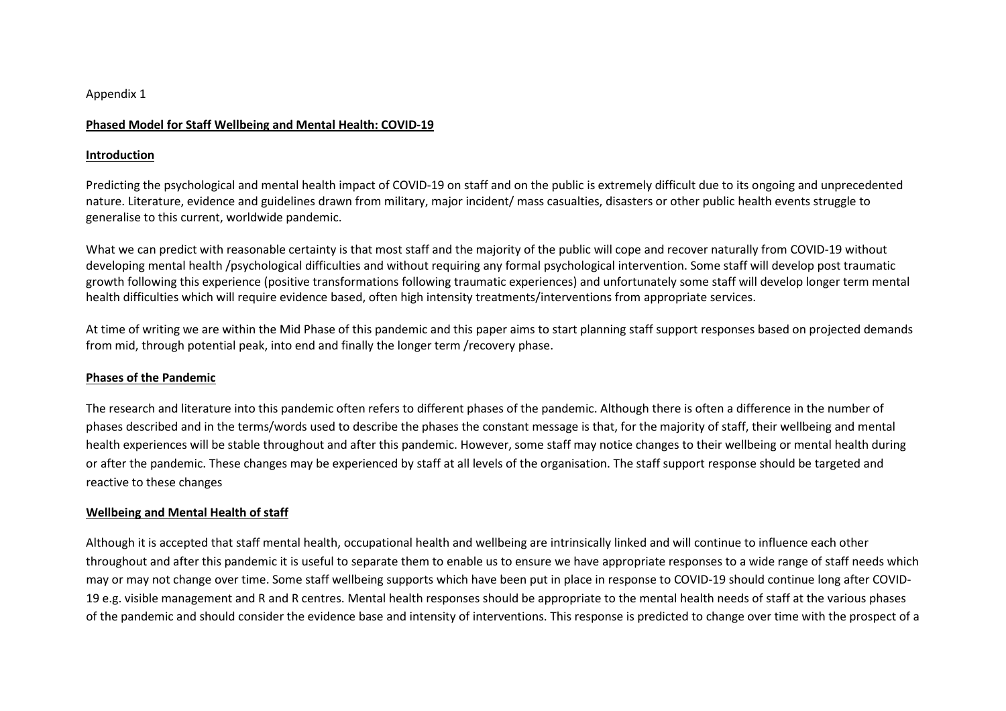#### Appendix 1

### Phased Model for Staff Wellbeing and Mental Health: COVID-19

### Introduction

Predicting the psychological and mental health impact of COVID-19 on staff and on the public is extremely difficult due to its ongoing and unprecedented nature. Literature, evidence and guidelines drawn from military, major incident/ mass casualties, disasters or other public health events struggle to generalise to this current, worldwide pandemic.

What we can predict with reasonable certainty is that most staff and the majority of the public will cope and recover naturally from COVID-19 without developing mental health /psychological difficulties and without requiring any formal psychological intervention. Some staff will develop post traumatic growth following this experience (positive transformations following traumatic experiences) and unfortunately some staff will develop longer term mental health difficulties which will require evidence based, often high intensity treatments/interventions from appropriate services.

At time of writing we are within the Mid Phase of this pandemic and this paper aims to start planning staff support responses based on projected demands from mid, through potential peak, into end and finally the longer term /recovery phase.

### Phases of the Pandemic

The research and literature into this pandemic often refers to different phases of the pandemic. Although there is often a difference in the number of phases described and in the terms/words used to describe the phases the constant message is that, for the majority of staff, their wellbeing and mental health experiences will be stable throughout and after this pandemic. However, some staff may notice changes to their wellbeing or mental health during or after the pandemic. These changes may be experienced by staff at all levels of the organisation. The staff support response should be targeted and reactive to these changes

# Wellbeing and Mental Health of staff

Although it is accepted that staff mental health, occupational health and wellbeing are intrinsically linked and will continue to influence each other throughout and after this pandemic it is useful to separate them to enable us to ensure we have appropriate responses to a wide range of staff needs which may or may not change over time. Some staff wellbeing supports which have been put in place in response to COVID-19 should continue long after COVID-19 e.g. visible management and R and R centres. Mental health responses should be appropriate to the mental health needs of staff at the various phases of the pandemic and should consider the evidence base and intensity of interventions. This response is predicted to change over time with the prospect of a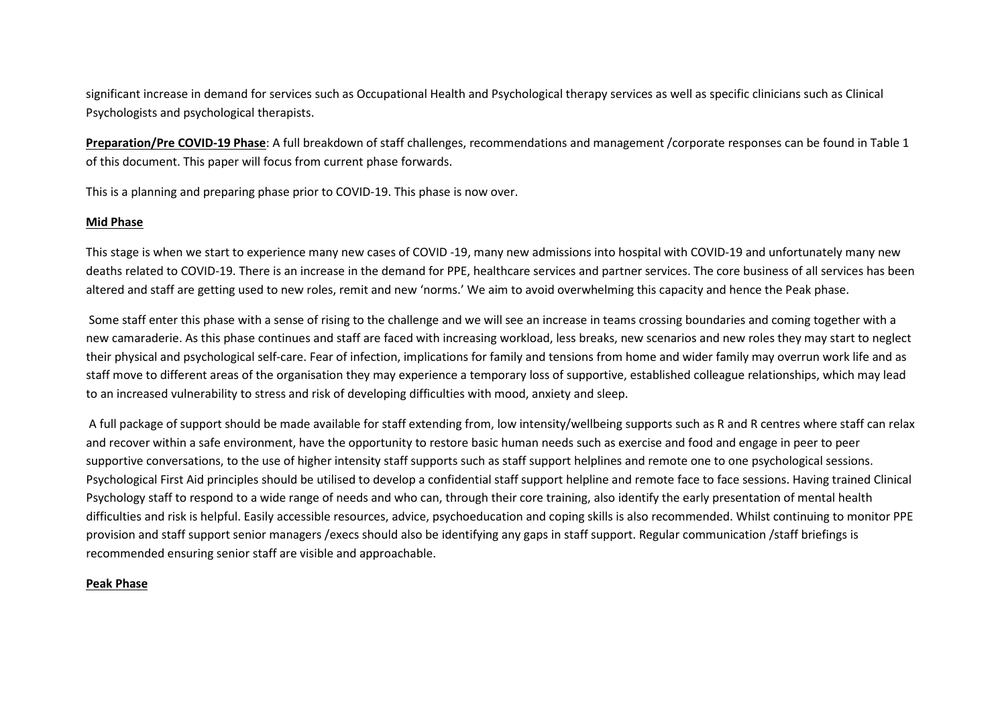significant increase in demand for services such as Occupational Health and Psychological therapy services as well as specific clinicians such as Clinical Psychologists and psychological therapists.

Preparation/Pre COVID-19 Phase: A full breakdown of staff challenges, recommendations and management /corporate responses can be found in Table 1 of this document. This paper will focus from current phase forwards.

This is a planning and preparing phase prior to COVID-19. This phase is now over.

## Mid Phase

This stage is when we start to experience many new cases of COVID -19, many new admissions into hospital with COVID-19 and unfortunately many new deaths related to COVID-19. There is an increase in the demand for PPE, healthcare services and partner services. The core business of all services has been altered and staff are getting used to new roles, remit and new 'norms.' We aim to avoid overwhelming this capacity and hence the Peak phase.

 Some staff enter this phase with a sense of rising to the challenge and we will see an increase in teams crossing boundaries and coming together with a new camaraderie. As this phase continues and staff are faced with increasing workload, less breaks, new scenarios and new roles they may start to neglect their physical and psychological self-care. Fear of infection, implications for family and tensions from home and wider family may overrun work life and as staff move to different areas of the organisation they may experience a temporary loss of supportive, established colleague relationships, which may lead to an increased vulnerability to stress and risk of developing difficulties with mood, anxiety and sleep.

 A full package of support should be made available for staff extending from, low intensity/wellbeing supports such as R and R centres where staff can relax and recover within a safe environment, have the opportunity to restore basic human needs such as exercise and food and engage in peer to peer supportive conversations, to the use of higher intensity staff supports such as staff support helplines and remote one to one psychological sessions. Psychological First Aid principles should be utilised to develop a confidential staff support helpline and remote face to face sessions. Having trained Clinical Psychology staff to respond to a wide range of needs and who can, through their core training, also identify the early presentation of mental health difficulties and risk is helpful. Easily accessible resources, advice, psychoeducation and coping skills is also recommended. Whilst continuing to monitor PPE provision and staff support senior managers /execs should also be identifying any gaps in staff support. Regular communication /staff briefings is recommended ensuring senior staff are visible and approachable.

### Peak Phase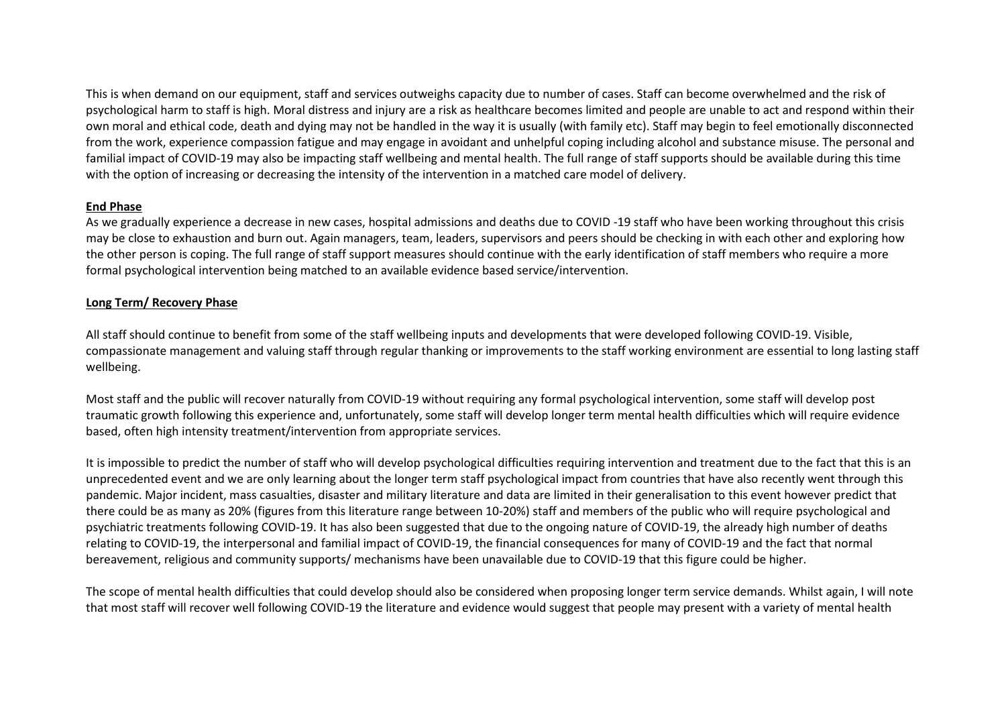This is when demand on our equipment, staff and services outweighs capacity due to number of cases. Staff can become overwhelmed and the risk of psychological harm to staff is high. Moral distress and injury are a risk as healthcare becomes limited and people are unable to act and respond within their own moral and ethical code, death and dying may not be handled in the way it is usually (with family etc). Staff may begin to feel emotionally disconnected from the work, experience compassion fatigue and may engage in avoidant and unhelpful coping including alcohol and substance misuse. The personal and familial impact of COVID-19 may also be impacting staff wellbeing and mental health. The full range of staff supports should be available during this time with the option of increasing or decreasing the intensity of the intervention in a matched care model of delivery.

## End Phase

 As we gradually experience a decrease in new cases, hospital admissions and deaths due to COVID -19 staff who have been working throughout this crisis may be close to exhaustion and burn out. Again managers, team, leaders, supervisors and peers should be checking in with each other and exploring how the other person is coping. The full range of staff support measures should continue with the early identification of staff members who require a more formal psychological intervention being matched to an available evidence based service/intervention.

# Long Term/ Recovery Phase

All staff should continue to benefit from some of the staff wellbeing inputs and developments that were developed following COVID-19. Visible, compassionate management and valuing staff through regular thanking or improvements to the staff working environment are essential to long lasting staff wellbeing.

Most staff and the public will recover naturally from COVID-19 without requiring any formal psychological intervention, some staff will develop post traumatic growth following this experience and, unfortunately, some staff will develop longer term mental health difficulties which will require evidence based, often high intensity treatment/intervention from appropriate services.

It is impossible to predict the number of staff who will develop psychological difficulties requiring intervention and treatment due to the fact that this is an unprecedented event and we are only learning about the longer term staff psychological impact from countries that have also recently went through this pandemic. Major incident, mass casualties, disaster and military literature and data are limited in their generalisation to this event however predict that there could be as many as 20% (figures from this literature range between 10-20%) staff and members of the public who will require psychological and psychiatric treatments following COVID-19. It has also been suggested that due to the ongoing nature of COVID-19, the already high number of deaths relating to COVID-19, the interpersonal and familial impact of COVID-19, the financial consequences for many of COVID-19 and the fact that normal bereavement, religious and community supports/ mechanisms have been unavailable due to COVID-19 that this figure could be higher.

The scope of mental health difficulties that could develop should also be considered when proposing longer term service demands. Whilst again, I will note that most staff will recover well following COVID-19 the literature and evidence would suggest that people may present with a variety of mental health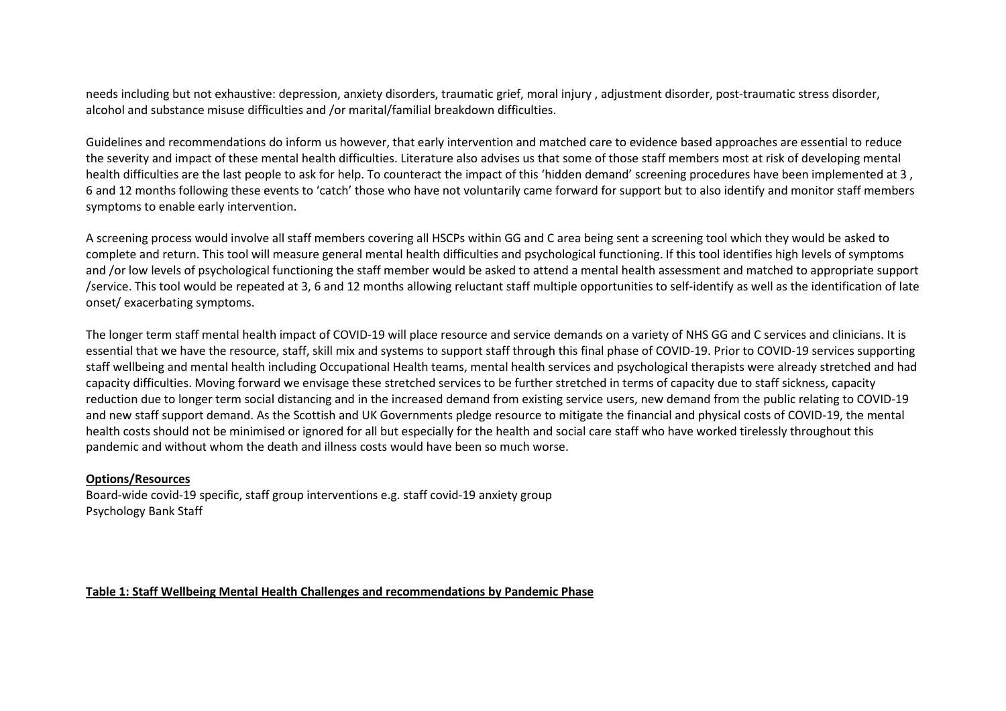needs including but not exhaustive: depression, anxiety disorders, traumatic grief, moral injury , adjustment disorder, post-traumatic stress disorder, alcohol and substance misuse difficulties and /or marital/familial breakdown difficulties.

Guidelines and recommendations do inform us however, that early intervention and matched care to evidence based approaches are essential to reduce the severity and impact of these mental health difficulties. Literature also advises us that some of those staff members most at risk of developing mental health difficulties are the last people to ask for help. To counteract the impact of this 'hidden demand' screening procedures have been implemented at 3 , 6 and 12 months following these events to 'catch' those who have not voluntarily came forward for support but to also identify and monitor staff members symptoms to enable early intervention.

A screening process would involve all staff members covering all HSCPs within GG and C area being sent a screening tool which they would be asked to complete and return. This tool will measure general mental health difficulties and psychological functioning. If this tool identifies high levels of symptoms and /or low levels of psychological functioning the staff member would be asked to attend a mental health assessment and matched to appropriate support /service. This tool would be repeated at 3, 6 and 12 months allowing reluctant staff multiple opportunities to self-identify as well as the identification of late onset/ exacerbating symptoms.

The longer term staff mental health impact of COVID-19 will place resource and service demands on a variety of NHS GG and C services and clinicians. It is essential that we have the resource, staff, skill mix and systems to support staff through this final phase of COVID-19. Prior to COVID-19 services supporting staff wellbeing and mental health including Occupational Health teams, mental health services and psychological therapists were already stretched and had capacity difficulties. Moving forward we envisage these stretched services to be further stretched in terms of capacity due to staff sickness, capacity reduction due to longer term social distancing and in the increased demand from existing service users, new demand from the public relating to COVID-19 and new staff support demand. As the Scottish and UK Governments pledge resource to mitigate the financial and physical costs of COVID-19, the mental health costs should not be minimised or ignored for all but especially for the health and social care staff who have worked tirelessly throughout this pandemic and without whom the death and illness costs would have been so much worse.

### Options/Resources

 Board-wide covid-19 specific, staff group interventions e.g. staff covid-19 anxiety group Psychology Bank Staff

#### Table 1: Staff Wellbeing Mental Health Challenges and recommendations by Pandemic Phase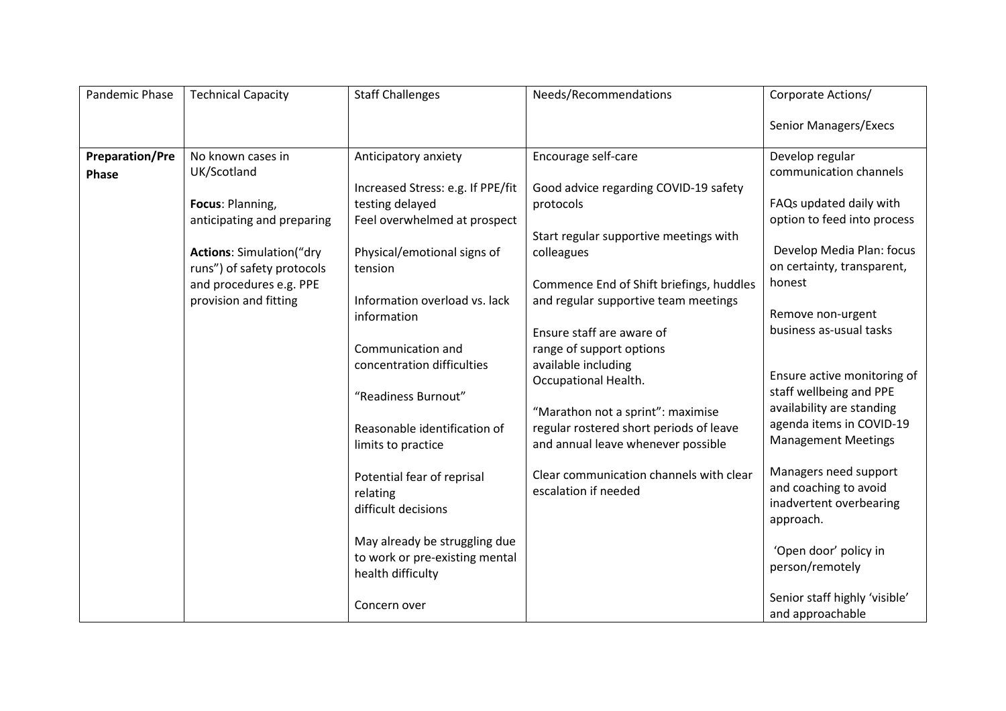| Pandemic Phase         | <b>Technical Capacity</b>       | <b>Staff Challenges</b>           | Needs/Recommendations                           | Corporate Actions/                                |
|------------------------|---------------------------------|-----------------------------------|-------------------------------------------------|---------------------------------------------------|
|                        |                                 |                                   |                                                 | Senior Managers/Execs                             |
| <b>Preparation/Pre</b> | No known cases in               | Anticipatory anxiety              | Encourage self-care                             | Develop regular                                   |
| Phase                  | UK/Scotland                     |                                   |                                                 | communication channels                            |
|                        |                                 | Increased Stress: e.g. If PPE/fit | Good advice regarding COVID-19 safety           |                                                   |
|                        | Focus: Planning,                | testing delayed                   | protocols                                       | FAQs updated daily with                           |
|                        | anticipating and preparing      | Feel overwhelmed at prospect      |                                                 | option to feed into process                       |
|                        |                                 |                                   | Start regular supportive meetings with          |                                                   |
|                        | <b>Actions: Simulation("dry</b> | Physical/emotional signs of       | colleagues                                      | Develop Media Plan: focus                         |
|                        | runs") of safety protocols      | tension                           |                                                 | on certainty, transparent,                        |
|                        | and procedures e.g. PPE         |                                   | Commence End of Shift briefings, huddles        | honest                                            |
|                        | provision and fitting           | Information overload vs. lack     | and regular supportive team meetings            | Remove non-urgent                                 |
|                        |                                 | information                       |                                                 | business as-usual tasks                           |
|                        |                                 |                                   | Ensure staff are aware of                       |                                                   |
|                        |                                 | Communication and                 | range of support options<br>available including |                                                   |
|                        |                                 | concentration difficulties        | Occupational Health.                            | Ensure active monitoring of                       |
|                        |                                 | "Readiness Burnout"               |                                                 | staff wellbeing and PPE                           |
|                        |                                 |                                   | "Marathon not a sprint": maximise               | availability are standing                         |
|                        |                                 | Reasonable identification of      | regular rostered short periods of leave         | agenda items in COVID-19                          |
|                        |                                 | limits to practice                | and annual leave whenever possible              | <b>Management Meetings</b>                        |
|                        |                                 |                                   |                                                 |                                                   |
|                        |                                 | Potential fear of reprisal        | Clear communication channels with clear         | Managers need support                             |
|                        |                                 | relating                          | escalation if needed                            | and coaching to avoid                             |
|                        |                                 | difficult decisions               |                                                 | inadvertent overbearing                           |
|                        |                                 |                                   |                                                 | approach.                                         |
|                        |                                 | May already be struggling due     |                                                 |                                                   |
|                        |                                 | to work or pre-existing mental    |                                                 | 'Open door' policy in                             |
|                        |                                 | health difficulty                 |                                                 | person/remotely                                   |
|                        |                                 |                                   |                                                 |                                                   |
|                        |                                 | Concern over                      |                                                 | Senior staff highly 'visible'<br>and approachable |
|                        |                                 |                                   |                                                 |                                                   |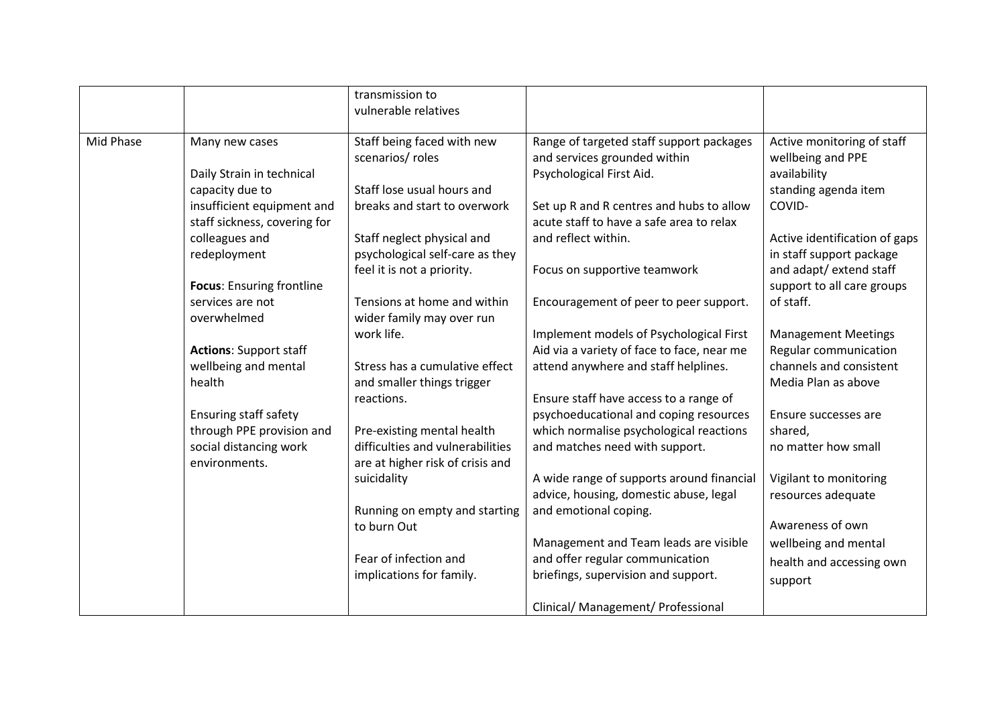|           |                               | transmission to<br>vulnerable relatives |                                            |                               |
|-----------|-------------------------------|-----------------------------------------|--------------------------------------------|-------------------------------|
| Mid Phase | Many new cases                | Staff being faced with new              | Range of targeted staff support packages   | Active monitoring of staff    |
|           |                               | scenarios/ roles                        | and services grounded within               | wellbeing and PPE             |
|           | Daily Strain in technical     |                                         | Psychological First Aid.                   | availability                  |
|           | capacity due to               | Staff lose usual hours and              |                                            | standing agenda item          |
|           | insufficient equipment and    | breaks and start to overwork            | Set up R and R centres and hubs to allow   | COVID-                        |
|           | staff sickness, covering for  |                                         | acute staff to have a safe area to relax   |                               |
|           | colleagues and                | Staff neglect physical and              | and reflect within.                        | Active identification of gaps |
|           | redeployment                  | psychological self-care as they         |                                            | in staff support package      |
|           |                               | feel it is not a priority.              | Focus on supportive teamwork               | and adapt/ extend staff       |
|           | Focus: Ensuring frontline     |                                         |                                            | support to all care groups    |
|           | services are not              | Tensions at home and within             | Encouragement of peer to peer support.     | of staff.                     |
|           | overwhelmed                   | wider family may over run               |                                            |                               |
|           |                               | work life.                              | Implement models of Psychological First    | <b>Management Meetings</b>    |
|           | <b>Actions: Support staff</b> |                                         | Aid via a variety of face to face, near me | Regular communication         |
|           | wellbeing and mental          | Stress has a cumulative effect          | attend anywhere and staff helplines.       | channels and consistent       |
|           | health                        | and smaller things trigger              |                                            | Media Plan as above           |
|           |                               | reactions.                              | Ensure staff have access to a range of     |                               |
|           | Ensuring staff safety         |                                         | psychoeducational and coping resources     | Ensure successes are          |
|           | through PPE provision and     | Pre-existing mental health              | which normalise psychological reactions    | shared,                       |
|           | social distancing work        | difficulties and vulnerabilities        | and matches need with support.             | no matter how small           |
|           | environments.                 | are at higher risk of crisis and        |                                            |                               |
|           |                               | suicidality                             | A wide range of supports around financial  | Vigilant to monitoring        |
|           |                               |                                         | advice, housing, domestic abuse, legal     | resources adequate            |
|           |                               | Running on empty and starting           | and emotional coping.                      |                               |
|           |                               | to burn Out                             |                                            | Awareness of own              |
|           |                               |                                         | Management and Team leads are visible      | wellbeing and mental          |
|           |                               | Fear of infection and                   | and offer regular communication            | health and accessing own      |
|           |                               | implications for family.                | briefings, supervision and support.        | support                       |
|           |                               |                                         | Clinical/ Management/ Professional         |                               |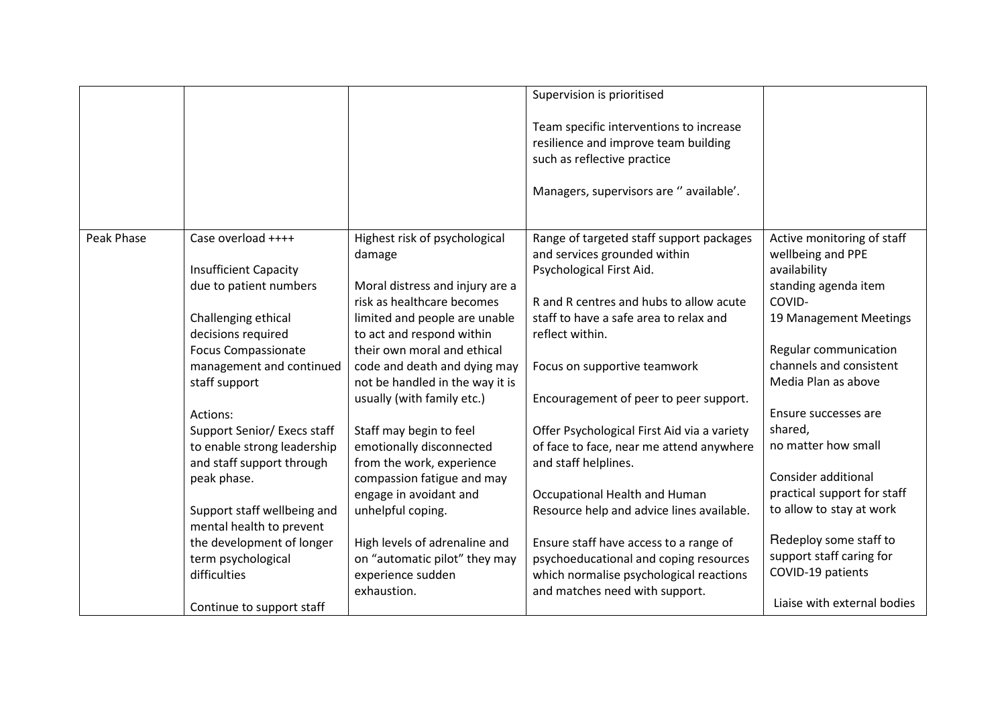|            |                              |                                 | Supervision is prioritised                                                                                                                                |                                                |
|------------|------------------------------|---------------------------------|-----------------------------------------------------------------------------------------------------------------------------------------------------------|------------------------------------------------|
|            |                              |                                 | Team specific interventions to increase<br>resilience and improve team building<br>such as reflective practice<br>Managers, supervisors are " available'. |                                                |
| Peak Phase | Case overload ++++           | Highest risk of psychological   | Range of targeted staff support packages                                                                                                                  | Active monitoring of staff                     |
|            |                              | damage                          | and services grounded within                                                                                                                              | wellbeing and PPE                              |
|            | <b>Insufficient Capacity</b> |                                 | Psychological First Aid.                                                                                                                                  | availability                                   |
|            | due to patient numbers       | Moral distress and injury are a |                                                                                                                                                           | standing agenda item                           |
|            |                              | risk as healthcare becomes      | R and R centres and hubs to allow acute                                                                                                                   | COVID-                                         |
|            | Challenging ethical          | limited and people are unable   | staff to have a safe area to relax and                                                                                                                    | 19 Management Meetings                         |
|            | decisions required           | to act and respond within       | reflect within.                                                                                                                                           |                                                |
|            | <b>Focus Compassionate</b>   | their own moral and ethical     |                                                                                                                                                           | Regular communication                          |
|            | management and continued     | code and death and dying may    | Focus on supportive teamwork                                                                                                                              | channels and consistent<br>Media Plan as above |
|            | staff support                | not be handled in the way it is |                                                                                                                                                           |                                                |
|            | Actions:                     | usually (with family etc.)      | Encouragement of peer to peer support.                                                                                                                    | Ensure successes are                           |
|            | Support Senior/ Execs staff  | Staff may begin to feel         | Offer Psychological First Aid via a variety                                                                                                               | shared,                                        |
|            | to enable strong leadership  | emotionally disconnected        | of face to face, near me attend anywhere                                                                                                                  | no matter how small                            |
|            | and staff support through    | from the work, experience       | and staff helplines.                                                                                                                                      |                                                |
|            | peak phase.                  | compassion fatigue and may      |                                                                                                                                                           | Consider additional                            |
|            |                              | engage in avoidant and          | Occupational Health and Human                                                                                                                             | practical support for staff                    |
|            | Support staff wellbeing and  | unhelpful coping.               | Resource help and advice lines available.                                                                                                                 | to allow to stay at work                       |
|            | mental health to prevent     |                                 |                                                                                                                                                           |                                                |
|            | the development of longer    | High levels of adrenaline and   | Ensure staff have access to a range of                                                                                                                    | Redeploy some staff to                         |
|            | term psychological           | on "automatic pilot" they may   | psychoeducational and coping resources                                                                                                                    | support staff caring for                       |
|            | difficulties                 | experience sudden               | which normalise psychological reactions                                                                                                                   | COVID-19 patients                              |
|            |                              | exhaustion.                     | and matches need with support.                                                                                                                            |                                                |
|            | Continue to support staff    |                                 |                                                                                                                                                           | Liaise with external bodies                    |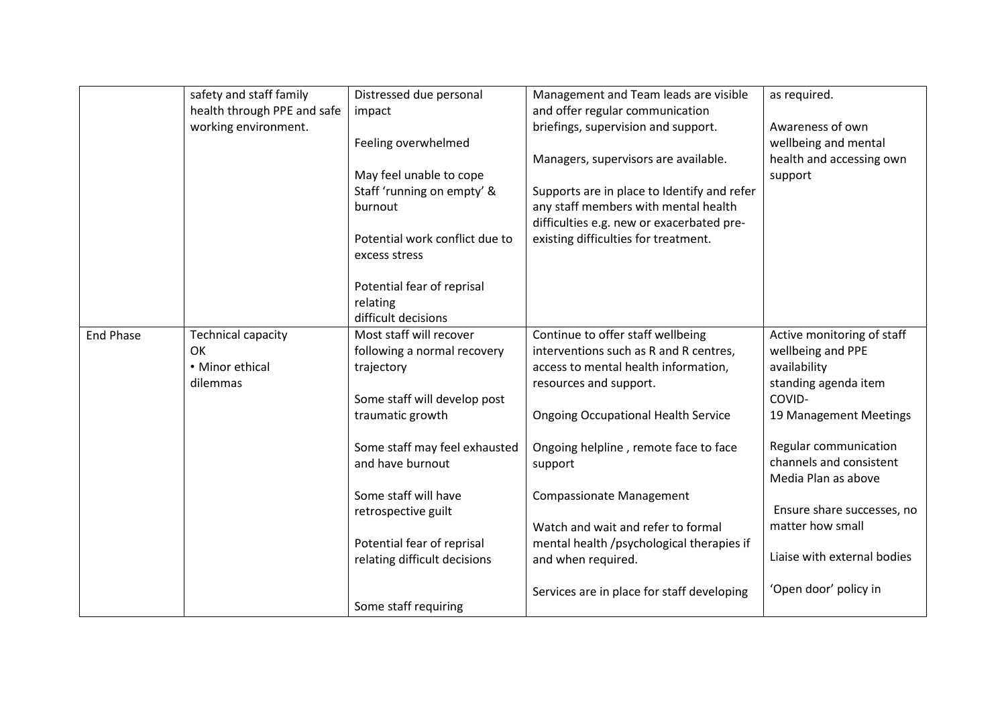|                  | safety and staff family     | Distressed due personal        | Management and Team leads are visible       | as required.                |
|------------------|-----------------------------|--------------------------------|---------------------------------------------|-----------------------------|
|                  | health through PPE and safe | impact                         | and offer regular communication             |                             |
|                  | working environment.        |                                | briefings, supervision and support.         | Awareness of own            |
|                  |                             | Feeling overwhelmed            |                                             | wellbeing and mental        |
|                  |                             |                                | Managers, supervisors are available.        | health and accessing own    |
|                  |                             | May feel unable to cope        |                                             | support                     |
|                  |                             | Staff 'running on empty' &     | Supports are in place to Identify and refer |                             |
|                  |                             | burnout                        | any staff members with mental health        |                             |
|                  |                             |                                | difficulties e.g. new or exacerbated pre-   |                             |
|                  |                             | Potential work conflict due to | existing difficulties for treatment.        |                             |
|                  |                             | excess stress                  |                                             |                             |
|                  |                             |                                |                                             |                             |
|                  |                             | Potential fear of reprisal     |                                             |                             |
|                  |                             | relating                       |                                             |                             |
|                  |                             | difficult decisions            |                                             |                             |
| <b>End Phase</b> | <b>Technical capacity</b>   | Most staff will recover        | Continue to offer staff wellbeing           | Active monitoring of staff  |
|                  | OK                          | following a normal recovery    | interventions such as R and R centres,      | wellbeing and PPE           |
|                  | • Minor ethical             | trajectory                     | access to mental health information,        | availability                |
|                  | dilemmas                    |                                | resources and support.                      | standing agenda item        |
|                  |                             | Some staff will develop post   |                                             | COVID-                      |
|                  |                             | traumatic growth               | <b>Ongoing Occupational Health Service</b>  | 19 Management Meetings      |
|                  |                             |                                |                                             |                             |
|                  |                             | Some staff may feel exhausted  | Ongoing helpline, remote face to face       | Regular communication       |
|                  |                             | and have burnout               | support                                     | channels and consistent     |
|                  |                             |                                |                                             | Media Plan as above         |
|                  |                             | Some staff will have           | <b>Compassionate Management</b>             |                             |
|                  |                             | retrospective guilt            |                                             | Ensure share successes, no  |
|                  |                             |                                | Watch and wait and refer to formal          | matter how small            |
|                  |                             | Potential fear of reprisal     | mental health /psychological therapies if   |                             |
|                  |                             | relating difficult decisions   | and when required.                          | Liaise with external bodies |
|                  |                             |                                |                                             |                             |
|                  |                             |                                | Services are in place for staff developing  | 'Open door' policy in       |
|                  |                             | Some staff requiring           |                                             |                             |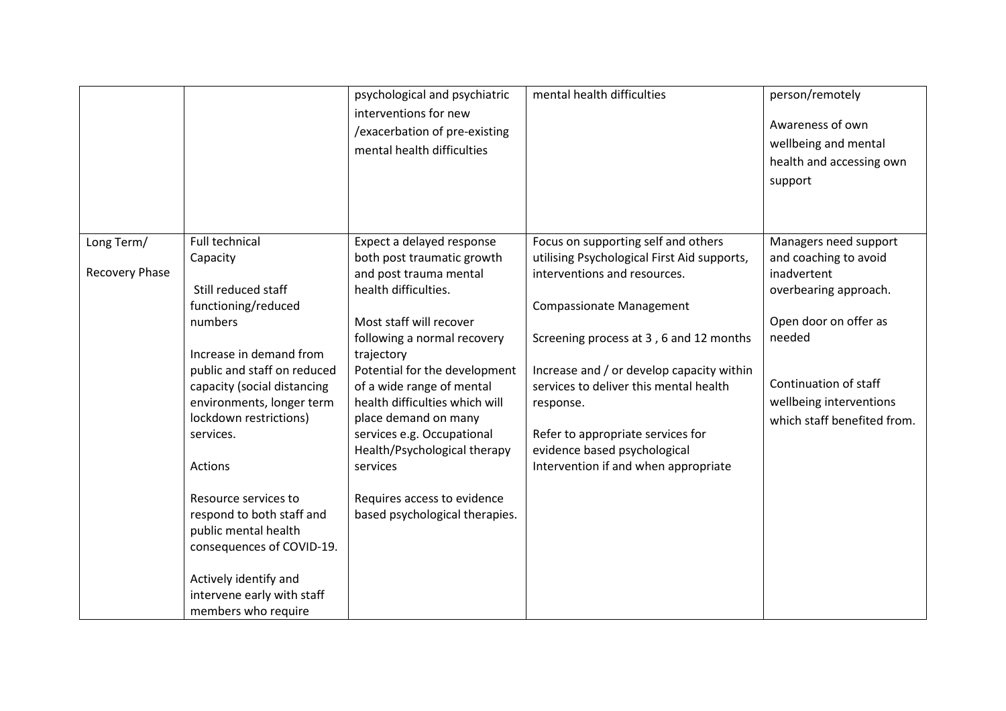|                              |                                                                                                                                                                                                                                                                                                                  | psychological and psychiatric<br>interventions for new<br>/exacerbation of pre-existing<br>mental health difficulties                                                                                                                                                                                                                                                                                                                                | mental health difficulties                                                                                                                                                                                                                                                                                                                                                                                        | person/remotely<br>Awareness of own<br>wellbeing and mental<br>health and accessing own<br>support                                                                                                           |
|------------------------------|------------------------------------------------------------------------------------------------------------------------------------------------------------------------------------------------------------------------------------------------------------------------------------------------------------------|------------------------------------------------------------------------------------------------------------------------------------------------------------------------------------------------------------------------------------------------------------------------------------------------------------------------------------------------------------------------------------------------------------------------------------------------------|-------------------------------------------------------------------------------------------------------------------------------------------------------------------------------------------------------------------------------------------------------------------------------------------------------------------------------------------------------------------------------------------------------------------|--------------------------------------------------------------------------------------------------------------------------------------------------------------------------------------------------------------|
| Long Term/<br>Recovery Phase | Full technical<br>Capacity<br>Still reduced staff<br>functioning/reduced<br>numbers<br>Increase in demand from<br>public and staff on reduced<br>capacity (social distancing<br>environments, longer term<br>lockdown restrictions)<br>services.<br>Actions<br>Resource services to<br>respond to both staff and | Expect a delayed response<br>both post traumatic growth<br>and post trauma mental<br>health difficulties.<br>Most staff will recover<br>following a normal recovery<br>trajectory<br>Potential for the development<br>of a wide range of mental<br>health difficulties which will<br>place demand on many<br>services e.g. Occupational<br>Health/Psychological therapy<br>services<br>Requires access to evidence<br>based psychological therapies. | Focus on supporting self and others<br>utilising Psychological First Aid supports,<br>interventions and resources.<br><b>Compassionate Management</b><br>Screening process at 3, 6 and 12 months<br>Increase and / or develop capacity within<br>services to deliver this mental health<br>response.<br>Refer to appropriate services for<br>evidence based psychological<br>Intervention if and when appropriate | Managers need support<br>and coaching to avoid<br>inadvertent<br>overbearing approach.<br>Open door on offer as<br>needed<br>Continuation of staff<br>wellbeing interventions<br>which staff benefited from. |
|                              | public mental health<br>consequences of COVID-19.<br>Actively identify and<br>intervene early with staff<br>members who require                                                                                                                                                                                  |                                                                                                                                                                                                                                                                                                                                                                                                                                                      |                                                                                                                                                                                                                                                                                                                                                                                                                   |                                                                                                                                                                                                              |